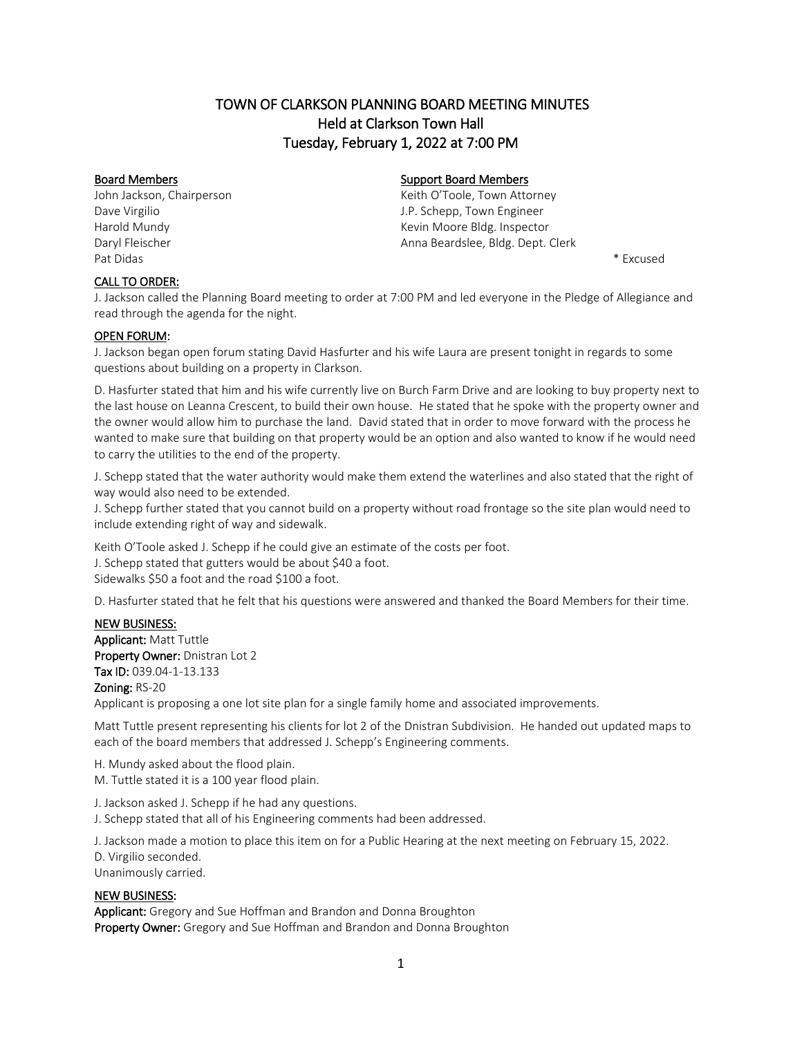# TOWN OF CLARKSON PLANNING BOARD MEETING MINUTES Held at Clarkson Town Hall Tuesday, February 1, 2022 at 7:00 PM

John Jackson, Chairperson **Keith O'Toole, Town Attorney** Keith O'Toole, Town Attorney Pat Didas \* Excused

## Board Members **Support Board Members** Support Board Members

Dave Virgilio J.P. Schepp, Town Engineer Harold Mundy **Kevin Moore Bldg. Inspector Kevin Moore Bldg.** Inspector Daryl Fleischer Anna Beardslee, Bldg. Dept. Clerk

## CALL TO ORDER:

J. Jackson called the Planning Board meeting to order at 7:00 PM and led everyone in the Pledge of Allegiance and read through the agenda for the night.

## OPEN FORUM:

J. Jackson began open forum stating David Hasfurter and his wife Laura are present tonight in regards to some questions about building on a property in Clarkson.

D. Hasfurter stated that him and his wife currently live on Burch Farm Drive and are looking to buy property next to the last house on Leanna Crescent, to build their own house. He stated that he spoke with the property owner and the owner would allow him to purchase the land. David stated that in order to move forward with the process he wanted to make sure that building on that property would be an option and also wanted to know if he would need to carry the utilities to the end of the property.

J. Schepp stated that the water authority would make them extend the waterlines and also stated that the right of way would also need to be extended.

J. Schepp further stated that you cannot build on a property without road frontage so the site plan would need to include extending right of way and sidewalk.

Keith O'Toole asked J. Schepp if he could give an estimate of the costs per foot. J. Schepp stated that gutters would be about \$40 a foot. Sidewalks \$50 a foot and the road \$100 a foot.

D. Hasfurter stated that he felt that his questions were answered and thanked the Board Members for their time.

## NEW BUSINESS:

Applicant: Matt Tuttle Property Owner: Dnistran Lot 2 Tax ID: 039.04-1-13.133 Zoning: RS-20 Applicant is proposing a one lot site plan for a single family home and associated improvements.

Matt Tuttle present representing his clients for lot 2 of the Dnistran Subdivision. He handed out updated maps to each of the board members that addressed J. Schepp's Engineering comments.

H. Mundy asked about the flood plain. M. Tuttle stated it is a 100 year flood plain.

J. Jackson asked J. Schepp if he had any questions. J. Schepp stated that all of his Engineering comments had been addressed.

J. Jackson made a motion to place this item on for a Public Hearing at the next meeting on February 15, 2022. D. Virgilio seconded. Unanimously carried.

### NEW BUSINESS:

Applicant: Gregory and Sue Hoffman and Brandon and Donna Broughton Property Owner: Gregory and Sue Hoffman and Brandon and Donna Broughton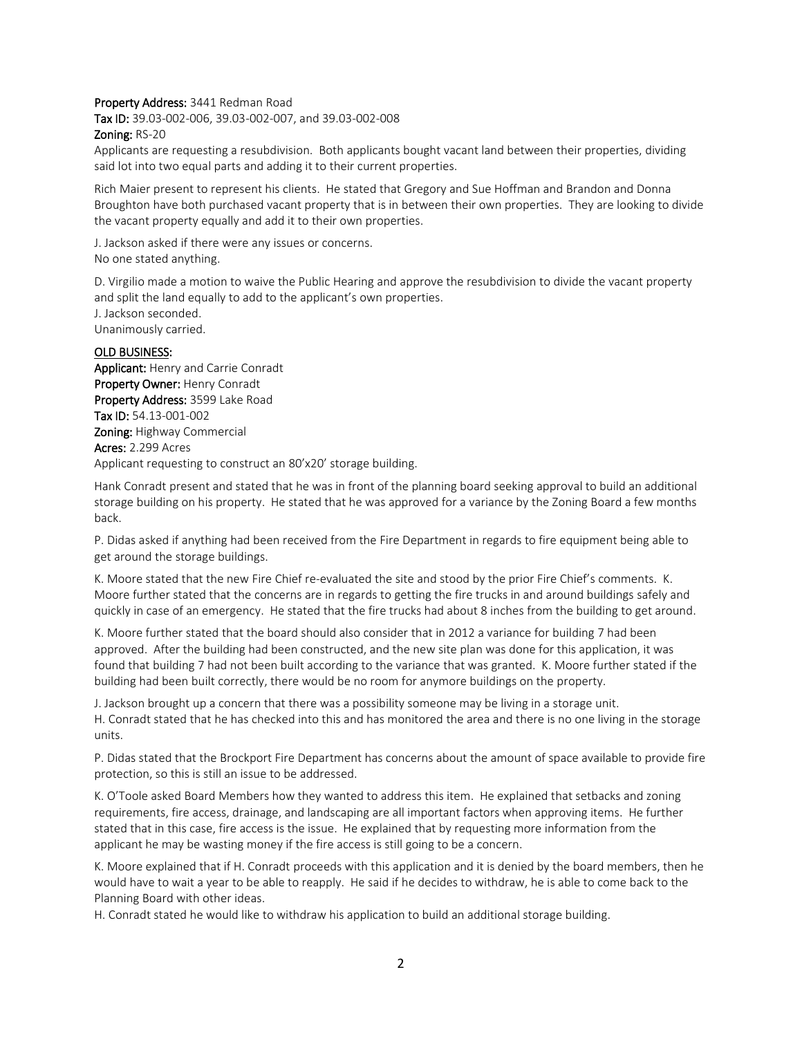#### Property Address: 3441 Redman Road

Tax ID: 39.03-002-006, 39.03-002-007, and 39.03-002-008

#### Zoning: RS-20

Applicants are requesting a resubdivision. Both applicants bought vacant land between their properties, dividing said lot into two equal parts and adding it to their current properties.

Rich Maier present to represent his clients. He stated that Gregory and Sue Hoffman and Brandon and Donna Broughton have both purchased vacant property that is in between their own properties. They are looking to divide the vacant property equally and add it to their own properties.

J. Jackson asked if there were any issues or concerns. No one stated anything.

D. Virgilio made a motion to waive the Public Hearing and approve the resubdivision to divide the vacant property and split the land equally to add to the applicant's own properties.

J. Jackson seconded. Unanimously carried.

## OLD BUSINESS:

Applicant: Henry and Carrie Conradt Property Owner: Henry Conradt Property Address: 3599 Lake Road Tax ID: 54.13-001-002 Zoning: Highway Commercial Acres: 2.299 Acres Applicant requesting to construct an 80'x20' storage building.

Hank Conradt present and stated that he was in front of the planning board seeking approval to build an additional storage building on his property. He stated that he was approved for a variance by the Zoning Board a few months back.

P. Didas asked if anything had been received from the Fire Department in regards to fire equipment being able to get around the storage buildings.

K. Moore stated that the new Fire Chief re-evaluated the site and stood by the prior Fire Chief's comments. K. Moore further stated that the concerns are in regards to getting the fire trucks in and around buildings safely and quickly in case of an emergency. He stated that the fire trucks had about 8 inches from the building to get around.

K. Moore further stated that the board should also consider that in 2012 a variance for building 7 had been approved. After the building had been constructed, and the new site plan was done for this application, it was found that building 7 had not been built according to the variance that was granted. K. Moore further stated if the building had been built correctly, there would be no room for anymore buildings on the property.

J. Jackson brought up a concern that there was a possibility someone may be living in a storage unit. H. Conradt stated that he has checked into this and has monitored the area and there is no one living in the storage units.

P. Didas stated that the Brockport Fire Department has concerns about the amount of space available to provide fire protection, so this is still an issue to be addressed.

K. O'Toole asked Board Members how they wanted to address this item. He explained that setbacks and zoning requirements, fire access, drainage, and landscaping are all important factors when approving items. He further stated that in this case, fire access is the issue. He explained that by requesting more information from the applicant he may be wasting money if the fire access is still going to be a concern.

K. Moore explained that if H. Conradt proceeds with this application and it is denied by the board members, then he would have to wait a year to be able to reapply. He said if he decides to withdraw, he is able to come back to the Planning Board with other ideas.

H. Conradt stated he would like to withdraw his application to build an additional storage building.